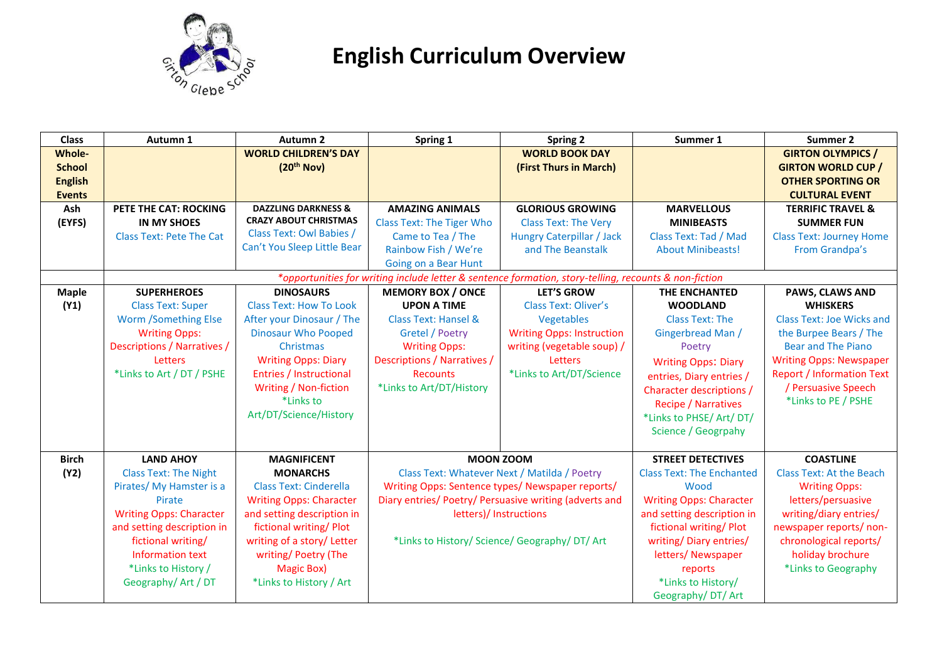

## **English Curriculum Overview**

| <b>Class</b>   | Autumn 1                                                                                              | Autumn 2                       | Spring 1                                               | <b>Spring 2</b>                                | Summer 1                         | Summer 2                         |
|----------------|-------------------------------------------------------------------------------------------------------|--------------------------------|--------------------------------------------------------|------------------------------------------------|----------------------------------|----------------------------------|
| <b>Whole-</b>  |                                                                                                       | <b>WORLD CHILDREN'S DAY</b>    |                                                        | <b>WORLD BOOK DAY</b>                          |                                  | <b>GIRTON OLYMPICS /</b>         |
| <b>School</b>  |                                                                                                       | (20 <sup>th</sup> Nov)         |                                                        | (First Thurs in March)                         |                                  | <b>GIRTON WORLD CUP /</b>        |
| <b>English</b> |                                                                                                       |                                |                                                        |                                                |                                  | <b>OTHER SPORTING OR</b>         |
| <b>Events</b>  |                                                                                                       |                                |                                                        |                                                |                                  | <b>CULTURAL EVENT</b>            |
| Ash            | PETE THE CAT: ROCKING                                                                                 | <b>DAZZLING DARKNESS &amp;</b> | <b>AMAZING ANIMALS</b>                                 | <b>GLORIOUS GROWING</b>                        | <b>MARVELLOUS</b>                | <b>TERRIFIC TRAVEL &amp;</b>     |
| (EYFS)         | <b>IN MY SHOES</b>                                                                                    | <b>CRAZY ABOUT CHRISTMAS</b>   | <b>Class Text: The Tiger Who</b>                       | <b>Class Text: The Very</b>                    | <b>MINIBEASTS</b>                | <b>SUMMER FUN</b>                |
|                | <b>Class Text: Pete The Cat</b>                                                                       | Class Text: Owl Babies /       | Came to Tea / The                                      | <b>Hungry Caterpillar / Jack</b>               | Class Text: Tad / Mad            | <b>Class Text: Journey Home</b>  |
|                |                                                                                                       | Can't You Sleep Little Bear    | Rainbow Fish / We're                                   | and The Beanstalk                              | <b>About Minibeasts!</b>         | From Grandpa's                   |
|                |                                                                                                       |                                | Going on a Bear Hunt                                   |                                                |                                  |                                  |
|                | *opportunities for writing include letter & sentence formation, story-telling, recounts & non-fiction |                                |                                                        |                                                |                                  |                                  |
| <b>Maple</b>   | <b>SUPERHEROES</b>                                                                                    | <b>DINOSAURS</b>               | <b>MEMORY BOX / ONCE</b>                               | <b>LET'S GROW</b>                              | THE ENCHANTED                    | PAWS, CLAWS AND                  |
| (Y1)           | <b>Class Text: Super</b>                                                                              | <b>Class Text: How To Look</b> | <b>UPON A TIME</b>                                     | <b>Class Text: Oliver's</b>                    | <b>WOODLAND</b>                  | <b>WHISKERS</b>                  |
|                | <b>Worm /Something Else</b>                                                                           | After your Dinosaur / The      | <b>Class Text: Hansel &amp;</b>                        | Vegetables                                     | <b>Class Text: The</b>           | <b>Class Text: Joe Wicks and</b> |
|                | <b>Writing Opps:</b>                                                                                  | <b>Dinosaur Who Pooped</b>     | Gretel / Poetry                                        | <b>Writing Opps: Instruction</b>               | Gingerbread Man /                | the Burpee Bears / The           |
|                | Descriptions / Narratives /                                                                           | Christmas                      | <b>Writing Opps:</b>                                   | writing (vegetable soup) /                     | Poetry                           | <b>Bear and The Piano</b>        |
|                | Letters                                                                                               | <b>Writing Opps: Diary</b>     | Descriptions / Narratives /                            | Letters                                        | <b>Writing Opps: Diary</b>       | <b>Writing Opps: Newspaper</b>   |
|                | *Links to Art / DT / PSHE                                                                             | <b>Entries / Instructional</b> | <b>Recounts</b>                                        | *Links to Art/DT/Science                       | entries, Diary entries /         | <b>Report / Information Text</b> |
|                |                                                                                                       | Writing / Non-fiction          | *Links to Art/DT/History                               |                                                | <b>Character descriptions /</b>  | / Persuasive Speech              |
|                |                                                                                                       | *Links to                      |                                                        |                                                | <b>Recipe / Narratives</b>       | *Links to PE / PSHE              |
|                |                                                                                                       | Art/DT/Science/History         |                                                        |                                                | *Links to PHSE/ Art/ DT/         |                                  |
|                |                                                                                                       |                                |                                                        |                                                | Science / Geogrpahy              |                                  |
|                |                                                                                                       |                                |                                                        |                                                |                                  |                                  |
| <b>Birch</b>   | <b>LAND AHOY</b>                                                                                      | <b>MAGNIFICENT</b>             | <b>MOON ZOOM</b>                                       |                                                | <b>STREET DETECTIVES</b>         | <b>COASTLINE</b>                 |
| (Y2)           | <b>Class Text: The Night</b>                                                                          | <b>MONARCHS</b>                | Class Text: Whatever Next / Matilda / Poetry           |                                                | <b>Class Text: The Enchanted</b> | <b>Class Text: At the Beach</b>  |
|                | Pirates/ My Hamster is a                                                                              | <b>Class Text: Cinderella</b>  | Writing Opps: Sentence types/ Newspaper reports/       |                                                | Wood                             | <b>Writing Opps:</b>             |
|                | Pirate                                                                                                | <b>Writing Opps: Character</b> | Diary entries/ Poetry/ Persuasive writing (adverts and |                                                | <b>Writing Opps: Character</b>   | letters/persuasive               |
|                | <b>Writing Opps: Character</b>                                                                        | and setting description in     |                                                        | letters)/ Instructions                         | and setting description in       | writing/diary entries/           |
|                | and setting description in                                                                            | fictional writing/ Plot        |                                                        |                                                | fictional writing/ Plot          | newspaper reports/ non-          |
|                | fictional writing/                                                                                    | writing of a story/ Letter     |                                                        | *Links to History/ Science/ Geography/ DT/ Art | writing/ Diary entries/          | chronological reports/           |
|                | Information text                                                                                      | writing/ Poetry (The           |                                                        |                                                | letters/Newspaper                | holiday brochure                 |
|                | *Links to History /                                                                                   | <b>Magic Box)</b>              |                                                        |                                                | reports                          | *Links to Geography              |
|                | Geography/ Art / DT                                                                                   | *Links to History / Art        |                                                        |                                                | *Links to History/               |                                  |
|                |                                                                                                       |                                |                                                        |                                                | Geography/DT/Art                 |                                  |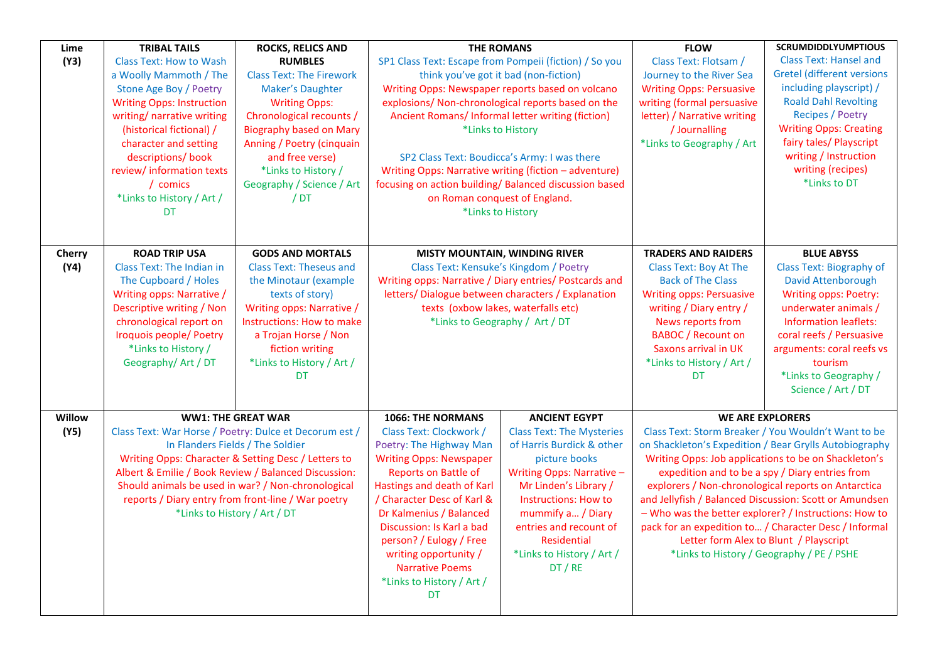| Lime   | <b>TRIBAL TAILS</b>                                                                                                                      | <b>ROCKS, RELICS AND</b>        | <b>THE ROMANS</b>                                                                                                                                                       |                                      | <b>FLOW</b>                                                                                                                                                                                                              | <b>SCRUMDIDDLYUMPTIOUS</b>                |
|--------|------------------------------------------------------------------------------------------------------------------------------------------|---------------------------------|-------------------------------------------------------------------------------------------------------------------------------------------------------------------------|--------------------------------------|--------------------------------------------------------------------------------------------------------------------------------------------------------------------------------------------------------------------------|-------------------------------------------|
| (Y3)   | <b>Class Text: How to Wash</b>                                                                                                           | <b>RUMBLES</b>                  | SP1 Class Text: Escape from Pompeii (fiction) / So you                                                                                                                  |                                      | Class Text: Flotsam /                                                                                                                                                                                                    | <b>Class Text: Hansel and</b>             |
|        | a Woolly Mammoth / The                                                                                                                   | <b>Class Text: The Firework</b> | think you've got it bad (non-fiction)                                                                                                                                   |                                      | Journey to the River Sea                                                                                                                                                                                                 | <b>Gretel (different versions</b>         |
|        | Stone Age Boy / Poetry                                                                                                                   | Maker's Daughter                | Writing Opps: Newspaper reports based on volcano                                                                                                                        |                                      | <b>Writing Opps: Persuasive</b>                                                                                                                                                                                          | including playscript) /                   |
|        | <b>Writing Opps: Instruction</b>                                                                                                         | <b>Writing Opps:</b>            | explosions/ Non-chronological reports based on the                                                                                                                      |                                      | writing (formal persuasive                                                                                                                                                                                               | <b>Roald Dahl Revolting</b>               |
|        | writing/ narrative writing                                                                                                               | Chronological recounts /        | Ancient Romans/ Informal letter writing (fiction)                                                                                                                       |                                      | letter) / Narrative writing                                                                                                                                                                                              | <b>Recipes / Poetry</b>                   |
|        | (historical fictional) /                                                                                                                 | <b>Biography based on Mary</b>  | *Links to History                                                                                                                                                       |                                      | / Journalling                                                                                                                                                                                                            | <b>Writing Opps: Creating</b>             |
|        | character and setting                                                                                                                    | Anning / Poetry (cinquain       |                                                                                                                                                                         |                                      | *Links to Geography / Art                                                                                                                                                                                                | fairy tales/ Playscript                   |
|        | descriptions/ book                                                                                                                       | and free verse)                 | SP2 Class Text: Boudicca's Army: I was there                                                                                                                            |                                      |                                                                                                                                                                                                                          | writing / Instruction                     |
|        | review/ information texts                                                                                                                | *Links to History /             | Writing Opps: Narrative writing (fiction - adventure)                                                                                                                   |                                      |                                                                                                                                                                                                                          | writing (recipes)                         |
|        | / comics                                                                                                                                 | Geography / Science / Art       | focusing on action building/ Balanced discussion based                                                                                                                  |                                      |                                                                                                                                                                                                                          | *Links to DT                              |
|        | *Links to History / Art /                                                                                                                | /DT                             | on Roman conquest of England.                                                                                                                                           |                                      |                                                                                                                                                                                                                          |                                           |
|        | DT                                                                                                                                       |                                 | *Links to History                                                                                                                                                       |                                      |                                                                                                                                                                                                                          |                                           |
|        |                                                                                                                                          |                                 |                                                                                                                                                                         |                                      |                                                                                                                                                                                                                          |                                           |
|        |                                                                                                                                          |                                 |                                                                                                                                                                         |                                      |                                                                                                                                                                                                                          |                                           |
| Cherry | <b>ROAD TRIP USA</b>                                                                                                                     | <b>GODS AND MORTALS</b>         |                                                                                                                                                                         | <b>MISTY MOUNTAIN, WINDING RIVER</b> | <b>TRADERS AND RAIDERS</b>                                                                                                                                                                                               | <b>BLUE ABYSS</b>                         |
| (Y4)   | Class Text: The Indian in                                                                                                                | <b>Class Text: Theseus and</b>  | Class Text: Kensuke's Kingdom / Poetry                                                                                                                                  |                                      | Class Text: Boy At The                                                                                                                                                                                                   | <b>Class Text: Biography of</b>           |
|        | The Cupboard / Holes                                                                                                                     | the Minotaur (example           | Writing opps: Narrative / Diary entries/ Postcards and                                                                                                                  |                                      | <b>Back of The Class</b>                                                                                                                                                                                                 | <b>David Attenborough</b>                 |
|        | Writing opps: Narrative /                                                                                                                | texts of story)                 | letters/ Dialogue between characters / Explanation                                                                                                                      |                                      | <b>Writing opps: Persuasive</b>                                                                                                                                                                                          | Writing opps: Poetry:                     |
|        | Descriptive writing / Non                                                                                                                | Writing opps: Narrative /       |                                                                                                                                                                         | texts (oxbow lakes, waterfalls etc)  | writing / Diary entry /                                                                                                                                                                                                  | underwater animals /                      |
|        | chronological report on                                                                                                                  | Instructions: How to make       |                                                                                                                                                                         | *Links to Geography / Art / DT       | News reports from                                                                                                                                                                                                        | <b>Information leaflets:</b>              |
|        | Iroquois people/ Poetry                                                                                                                  | a Trojan Horse / Non            |                                                                                                                                                                         |                                      | <b>BABOC</b> / Recount on                                                                                                                                                                                                | coral reefs / Persuasive                  |
|        | *Links to History /                                                                                                                      | fiction writing                 |                                                                                                                                                                         |                                      | Saxons arrival in UK                                                                                                                                                                                                     | arguments: coral reefs vs                 |
|        | Geography/ Art / DT                                                                                                                      | *Links to History / Art /       |                                                                                                                                                                         |                                      | *Links to History / Art /                                                                                                                                                                                                | tourism                                   |
|        |                                                                                                                                          | DT.                             |                                                                                                                                                                         |                                      | DT                                                                                                                                                                                                                       | *Links to Geography /                     |
|        |                                                                                                                                          |                                 |                                                                                                                                                                         |                                      |                                                                                                                                                                                                                          | Science / Art / DT                        |
|        |                                                                                                                                          |                                 |                                                                                                                                                                         |                                      |                                                                                                                                                                                                                          |                                           |
| Willow |                                                                                                                                          | <b>WW1: THE GREAT WAR</b>       | 1066: THE NORMANS                                                                                                                                                       | <b>ANCIENT EGYPT</b>                 |                                                                                                                                                                                                                          | <b>WE ARE EXPLORERS</b>                   |
| (Y5)   | Class Text: War Horse / Poetry: Dulce et Decorum est /                                                                                   |                                 | Class Text: Clockwork /                                                                                                                                                 | <b>Class Text: The Mysteries</b>     | Class Text: Storm Breaker / You Wouldn't Want to be<br>on Shackleton's Expedition / Bear Grylls Autobiography<br>Writing Opps: Job applications to be on Shackleton's<br>expedition and to be a spy / Diary entries from |                                           |
|        | In Flanders Fields / The Soldier                                                                                                         |                                 | Poetry: The Highway Man                                                                                                                                                 | of Harris Burdick & other            |                                                                                                                                                                                                                          |                                           |
|        | Writing Opps: Character & Setting Desc / Letters to                                                                                      |                                 | <b>Writing Opps: Newspaper</b>                                                                                                                                          | picture books                        |                                                                                                                                                                                                                          |                                           |
|        | Albert & Emilie / Book Review / Balanced Discussion:                                                                                     |                                 | <b>Reports on Battle of</b>                                                                                                                                             | Writing Opps: Narrative -            |                                                                                                                                                                                                                          |                                           |
|        | Should animals be used in war? / Non-chronological<br>reports / Diary entry from front-line / War poetry<br>*Links to History / Art / DT |                                 | Hastings and death of Karl<br>Mr Linden's Library /<br>explorers / Non-chronological reports on Antarctica<br>/ Character Desc of Karl &<br><b>Instructions: How to</b> |                                      |                                                                                                                                                                                                                          |                                           |
|        |                                                                                                                                          |                                 |                                                                                                                                                                         |                                      | and Jellyfish / Balanced Discussion: Scott or Amundsen                                                                                                                                                                   |                                           |
|        |                                                                                                                                          |                                 | Dr Kalmenius / Balanced                                                                                                                                                 | mummify a / Diary                    | - Who was the better explorer? / Instructions: How to<br>pack for an expedition to / Character Desc / Informal<br>Letter form Alex to Blunt / Playscript                                                                 |                                           |
|        |                                                                                                                                          |                                 | Discussion: Is Karl a bad                                                                                                                                               | entries and recount of               |                                                                                                                                                                                                                          |                                           |
|        |                                                                                                                                          |                                 | person? / Eulogy / Free                                                                                                                                                 | <b>Residential</b>                   |                                                                                                                                                                                                                          |                                           |
|        |                                                                                                                                          |                                 | writing opportunity /                                                                                                                                                   | *Links to History / Art /            |                                                                                                                                                                                                                          | *Links to History / Geography / PE / PSHE |
|        |                                                                                                                                          |                                 | <b>Narrative Poems</b>                                                                                                                                                  | DT / RE                              |                                                                                                                                                                                                                          |                                           |
|        |                                                                                                                                          |                                 | *Links to History / Art /                                                                                                                                               |                                      |                                                                                                                                                                                                                          |                                           |
|        |                                                                                                                                          |                                 | <b>DT</b>                                                                                                                                                               |                                      |                                                                                                                                                                                                                          |                                           |
|        |                                                                                                                                          |                                 |                                                                                                                                                                         |                                      |                                                                                                                                                                                                                          |                                           |